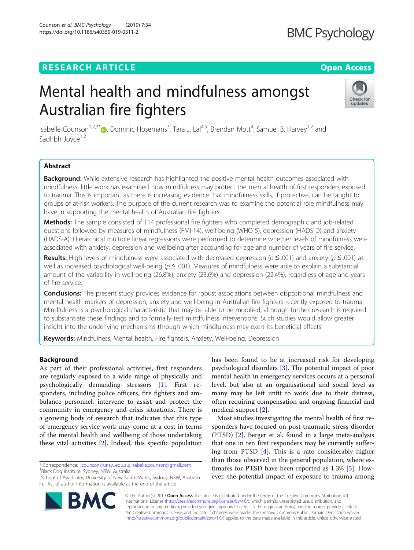Counson et al. BMC Psychology (2019) 7:34

# **RESEARCH ARTICLE Example 2014 12:30 The Contract of Contract ACCESS**

# **BMC Psychology**

# Mental health and mindfulness amongst Australian fire fighters



Isabelle Counson<sup>1[,](http://orcid.org/0000-0002-8446-4288)2,3\*</sup>®, Dominic Hosemans<sup>3</sup>, Tara J. Lal<sup>4,5</sup>, Brendan Mott<sup>4</sup>, Samuel B. Harvey<sup>1,2</sup> and Sadhbh Joyce<sup>1,2</sup>

# Abstract

**Background:** While extensive research has highlighted the positive mental health outcomes associated with mindfulness, little work has examined how mindfulness may protect the mental health of first responders exposed to trauma. This is important as there is increasing evidence that mindfulness skills, if protective, can be taught to groups of at-risk workers. The purpose of the current research was to examine the potential role mindfulness may have in supporting the mental health of Australian fire fighters.

Methods: The sample consisted of 114 professional fire fighters who completed demographic and job-related questions followed by measures of mindfulness (FMI-14), well-being (WHO-5), depression (HADS-D) and anxiety (HADS-A). Hierarchical multiple linear regressions were performed to determine whether levels of mindfulness were associated with anxiety, depression and wellbeing after accounting for age and number of years of fire service.

Results: High levels of mindfulness were associated with decreased depression ( $p \le 0.001$ ) and anxiety ( $p \le 0.001$ ) as well as increased psychological well-being ( $p \leq .001$ ). Measures of mindfulness were able to explain a substantial amount of the variability in well-being (26.8%), anxiety (23.6%) and depression (22.4%), regardless of age and years of fire service.

**Conclusions:** The present study provides evidence for robust associations between dispositional mindfulness and mental health markers of depression, anxiety and well-being in Australian fire fighters recently exposed to trauma. Mindfulness is a psychological characteristic that may be able to be modified, although further research is required to substantiate these findings and to formally test mindfulness interventions. Such studies would allow greater insight into the underlying mechanisms through which mindfulness may exert its beneficial effects.

Keywords: Mindfulness, Mental health, Fire fighters, Anxiety, Well-being, Depression

# Background

As part of their professional activities, first responders are regularly exposed to a wide range of physically and psychologically demanding stressors [\[1\]](#page-7-0). First responders, including police officers, fire fighters and ambulance personnel, intervene to assist and protect the community in emergency and crisis situations. There is a growing body of research that indicates that this type of emergency service work may come at a cost in terms of the mental health and wellbeing of those undertaking these vital activities [\[2](#page-7-0)]. Indeed, this specific population

\* Correspondence: [i.counson@unsw.edu.au;](mailto:i.counson@unsw.edu.au) [isabelle.counson@gmail.com](mailto:isabelle.counson@gmail.com) <sup>1</sup> <sup>1</sup>Black Dog Institute, Sydney, NSW, Australia

<sup>2</sup>School of Psychiatry, University of New South Wales, Sydney, NSW, Australia Full list of author information is available at the end of the article

has been found to be at increased risk for developing psychological disorders [[3\]](#page-7-0). The potential impact of poor mental health in emergency services occurs at a personal level, but also at an organisational and social level as many may be left unfit to work due to their distress, often requiring compensation and ongoing financial and medical support [[2\]](#page-7-0).

Most studies investigating the mental health of first responders have focused on post-traumatic stress disorder (PTSD) [\[2](#page-7-0)]. Berger et al. found in a large meta-analysis that one in ten first responders may be currently suffering from PTSD [[4\]](#page-7-0). This is a rate considerably higher than those observed in the general population, where estimates for PTSD have been reported as 1.3% [[5\]](#page-7-0). However, the potential impact of exposure to trauma among



© The Author(s). 2019 **Open Access** This article is distributed under the terms of the Creative Commons Attribution 4.0 International License [\(http://creativecommons.org/licenses/by/4.0/](http://creativecommons.org/licenses/by/4.0/)), which permits unrestricted use, distribution, and reproduction in any medium, provided you give appropriate credit to the original author(s) and the source, provide a link to the Creative Commons license, and indicate if changes were made. The Creative Commons Public Domain Dedication waiver [\(http://creativecommons.org/publicdomain/zero/1.0/](http://creativecommons.org/publicdomain/zero/1.0/)) applies to the data made available in this article, unless otherwise stated.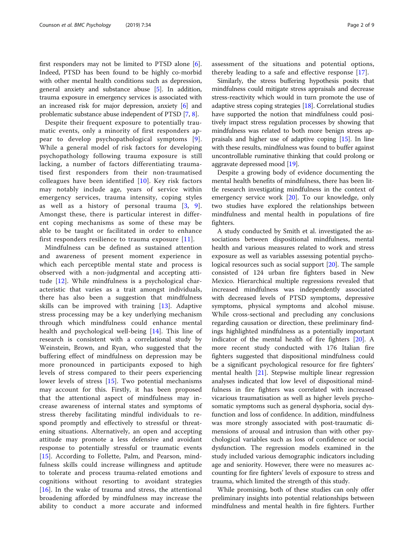first responders may not be limited to PTSD alone [\[6](#page-7-0)]. Indeed, PTSD has been found to be highly co-morbid with other mental health conditions such as depression, general anxiety and substance abuse [[5\]](#page-7-0). In addition, trauma exposure in emergency services is associated with an increased risk for major depression, anxiety [\[6\]](#page-7-0) and problematic substance abuse independent of PTSD [[7](#page-7-0), [8\]](#page-7-0).

Despite their frequent exposure to potentially traumatic events, only a minority of first responders appear to develop psychopathological symptoms [[9](#page-7-0)]. While a general model of risk factors for developing psychopathology following trauma exposure is still lacking, a number of factors differentiating traumatised first responders from their non-traumatised colleagues have been identified [[10](#page-7-0)]. Key risk factors may notably include age, years of service within emergency services, trauma intensity, coping styles as well as a history of personal trauma  $[3, 9]$  $[3, 9]$  $[3, 9]$  $[3, 9]$  $[3, 9]$ . Amongst these, there is particular interest in different coping mechanisms as some of these may be able to be taught or facilitated in order to enhance first responders resilience to trauma exposure [\[11\]](#page-7-0).

Mindfulness can be defined as sustained attention and awareness of present moment experience in which each perceptible mental state and process is observed with a non-judgmental and accepting attitude [[12](#page-7-0)]. While mindfulness is a psychological characteristic that varies as a trait amongst individuals, there has also been a suggestion that mindfulness skills can be improved with training [[13\]](#page-7-0). Adaptive stress processing may be a key underlying mechanism through which mindfulness could enhance mental health and psychological well-being [[14\]](#page-7-0). This line of research is consistent with a correlational study by Weinstein, Brown, and Ryan, who suggested that the buffering effect of mindfulness on depression may be more pronounced in participants exposed to high levels of stress compared to their peers experiencing lower levels of stress [[15\]](#page-7-0). Two potential mechanisms may account for this. Firstly, it has been proposed that the attentional aspect of mindfulness may increase awareness of internal states and symptoms of stress thereby facilitating mindful individuals to respond promptly and effectively to stressful or threatening situations. Alternatively, an open and accepting attitude may promote a less defensive and avoidant response to potentially stressful or traumatic events [[15\]](#page-7-0). According to Follette, Palm, and Pearson, mindfulness skills could increase willingness and aptitude to tolerate and process trauma-related emotions and cognitions without resorting to avoidant strategies  $[16]$  $[16]$ . In the wake of trauma and stress, the attentional broadening afforded by mindfulness may increase the ability to conduct a more accurate and informed assessment of the situations and potential options, thereby leading to a safe and effective response [\[17](#page-7-0)].

Similarly, the stress buffering hypothesis posits that mindfulness could mitigate stress appraisals and decrease stress-reactivity which would in turn promote the use of adaptive stress coping strategies [\[18\]](#page-7-0). Correlational studies have supported the notion that mindfulness could positively impact stress regulation processes by showing that mindfulness was related to both more benign stress appraisals and higher use of adaptive coping [\[15\]](#page-7-0). In line with these results, mindfulness was found to buffer against uncontrollable ruminative thinking that could prolong or aggravate depressed mood [[19](#page-7-0)].

Despite a growing body of evidence documenting the mental health benefits of mindfulness, there has been little research investigating mindfulness in the context of emergency service work [\[20\]](#page-7-0). To our knowledge, only two studies have explored the relationships between mindfulness and mental health in populations of fire fighters.

A study conducted by Smith et al. investigated the associations between dispositional mindfulness, mental health and various measures related to work and stress exposure as well as variables assessing potential psychological resources such as social support [[20](#page-7-0)]. The sample consisted of 124 urban fire fighters based in New Mexico. Hierarchical multiple regressions revealed that increased mindfulness was independently associated with decreased levels of PTSD symptoms, depressive symptoms, physical symptoms and alcohol misuse. While cross-sectional and precluding any conclusions regarding causation or direction, these preliminary findings highlighted mindfulness as a potentially important indicator of the mental health of fire fighters [\[20](#page-7-0)]. A more recent study conducted with 176 Italian fire fighters suggested that dispositional mindfulness could be a significant psychological resource for fire fighters' mental health [[21](#page-7-0)]. Stepwise multiple linear regression analyses indicated that low level of dispositional mindfulness in fire fighters was correlated with increased vicarious traumatisation as well as higher levels psychosomatic symptoms such as general dysphoria, social dysfunction and loss of confidence. In addition, mindfulness was more strongly associated with post-traumatic dimensions of arousal and intrusion than with other psychological variables such as loss of confidence or social dysfunction. The regression models examined in the study included various demographic indicators including age and seniority. However, there were no measures accounting for fire fighters' levels of exposure to stress and trauma, which limited the strength of this study.

While promising, both of these studies can only offer preliminary insights into potential relationships between mindfulness and mental health in fire fighters. Further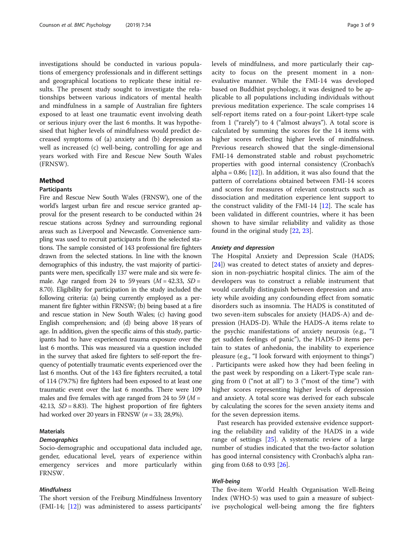investigations should be conducted in various populations of emergency professionals and in different settings and geographical locations to replicate these initial results. The present study sought to investigate the relationships between various indicators of mental health and mindfulness in a sample of Australian fire fighters exposed to at least one traumatic event involving death or serious injury over the last 6 months. It was hypothesised that higher levels of mindfulness would predict decreased symptoms of (a) anxiety and (b) depression as well as increased (c) well-being, controlling for age and years worked with Fire and Rescue New South Wales (FRNSW).

# Method

# Participants

Fire and Rescue New South Wales (FRNSW), one of the world's largest urban fire and rescue service granted approval for the present research to be conducted within 24 rescue stations across Sydney and surrounding regional areas such as Liverpool and Newcastle. Convenience sampling was used to recruit participants from the selected stations. The sample consisted of 143 professional fire fighters drawn from the selected stations. In line with the known demographics of this industry, the vast majority of participants were men, specifically 137 were male and six were female. Age ranged from 24 to 59 years  $(M = 42.33, SD =$ 8.70). Eligibility for participation in the study included the following criteria: (a) being currently employed as a permanent fire fighter within FRNSW; (b) being based at a fire and rescue station in New South Wales; (c) having good English comprehension; and (d) being above 18 years of age. In addition, given the specific aims of this study, participants had to have experienced trauma exposure over the last 6 months. This was measured via a question included in the survey that asked fire fighters to self-report the frequency of potentially traumatic events experienced over the last 6 months. Out of the 143 fire fighters recruited, a total of 114 (79.7%) fire fighters had been exposed to at least one traumatic event over the last 6 months. There were 109 males and five females with age ranged from 24 to 59 ( $M =$ 42.13,  $SD = 8.83$ ). The highest proportion of fire fighters had worked over 20 years in FRNSW  $(n = 33; 28,9\%).$ 

# **Materials**

# **Demographics**

Socio-demographic and occupational data included age, gender, educational level, years of experience within emergency services and more particularly within FRNSW.

# Mindfulness

The short version of the Freiburg Mindfulness Inventory (FMI-14; [[12\]](#page-7-0)) was administered to assess participants'

levels of mindfulness, and more particularly their capacity to focus on the present moment in a nonevaluative manner. While the FMI-14 was developed based on Buddhist psychology, it was designed to be applicable to all populations including individuals without previous meditation experience. The scale comprises 14 self-report items rated on a four-point Likert-type scale from 1 ("rarely") to 4 ("almost always"). A total score is calculated by summing the scores for the 14 items with higher scores reflecting higher levels of mindfulness. Previous research showed that the single-dimensional FMI-14 demonstrated stable and robust psychometric properties with good internal consistency (Cronbach's alpha =  $0.86$ ; [\[12](#page-7-0)]). In addition, it was also found that the pattern of correlations obtained between FMI-14 scores and scores for measures of relevant constructs such as dissociation and meditation experience lent support to the construct validity of the FMI-14 [[12\]](#page-7-0). The scale has been validated in different countries, where it has been shown to have similar reliability and validity as those found in the original study [\[22](#page-7-0), [23](#page-7-0)].

#### Anxiety and depression

The Hospital Anxiety and Depression Scale (HADS; [[24\]](#page-7-0)) was created to detect states of anxiety and depression in non-psychiatric hospital clinics. The aim of the developers was to construct a reliable instrument that would carefully distinguish between depression and anxiety while avoiding any confounding effect from somatic disorders such as insomnia. The HADS is constituted of two seven-item subscales for anxiety (HADS-A) and depression (HADS-D). While the HADS-A items relate to the psychic manifestations of anxiety neurosis (e.g., "I get sudden feelings of panic"), the HADS-D items pertain to states of anhedonia, the inability to experience pleasure (e.g., "I look forward with enjoyment to things") . Participants were asked how they had been feeling in the past week by responding on a Likert-Type scale ranging from 0 ("not at all") to 3 ("most of the time") with higher scores representing higher levels of depression and anxiety. A total score was derived for each subscale by calculating the scores for the seven anxiety items and for the seven depression items.

Past research has provided extensive evidence supporting the reliability and validity of the HADS in a wide range of settings [[25\]](#page-8-0). A systematic review of a large number of studies indicated that the two-factor solution has good internal consistency with Cronbach's alpha ranging from 0.68 to 0.93 [[26\]](#page-8-0).

# Well-being

The five-item World Health Organisation Well-Being Index (WHO-5) was used to gain a measure of subjective psychological well-being among the fire fighters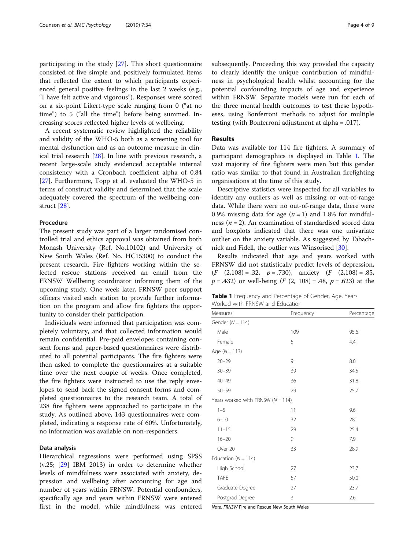participating in the study [\[27](#page-8-0)]. This short questionnaire consisted of five simple and positively formulated items that reflected the extent to which participants experienced general positive feelings in the last 2 weeks (e.g., "I have felt active and vigorous"). Responses were scored on a six-point Likert-type scale ranging from 0 ("at no time") to 5 ("all the time") before being summed. Increasing scores reflected higher levels of wellbeing.

A recent systematic review highlighted the reliability and validity of the WHO-5 both as a screening tool for mental dysfunction and as an outcome measure in clinical trial research [[28](#page-8-0)]. In line with previous research, a recent large-scale study evidenced acceptable internal consistency with a Cronbach coefficient alpha of 0.84 [[27\]](#page-8-0). Furthermore, Topp et al. evaluated the WHO-5 in terms of construct validity and determined that the scale adequately covered the spectrum of the wellbeing construct [\[28](#page-8-0)].

# **Procedure**

The present study was part of a larger randomised controlled trial and ethics approval was obtained from both Monash University (Ref. No.10102) and University of New South Wales (Ref. No. HC15300) to conduct the present research. Fire fighters working within the selected rescue stations received an email from the FRNSW Wellbeing coordinator informing them of the upcoming study. One week later, FRNSW peer support officers visited each station to provide further information on the program and allow fire fighters the opportunity to consider their participation.

Individuals were informed that participation was completely voluntary, and that collected information would remain confidential. Pre-paid envelopes containing consent forms and paper-based questionnaires were distributed to all potential participants. The fire fighters were then asked to complete the questionnaires at a suitable time over the next couple of weeks. Once completed, the fire fighters were instructed to use the reply envelopes to send back the signed consent forms and completed questionnaires to the research team. A total of 238 fire fighters were approached to participate in the study. As outlined above, 143 questionnaires were completed, indicating a response rate of 60%. Unfortunately, no information was available on non-responders.

# Data analysis

Hierarchical regressions were performed using SPSS (v.25; [[29\]](#page-8-0) IBM 2013) in order to determine whether levels of mindfulness were associated with anxiety, depression and wellbeing after accounting for age and number of years within FRNSW. Potential confounders, specifically age and years within FRNSW were entered first in the model, while mindfulness was entered subsequently. Proceeding this way provided the capacity to clearly identify the unique contribution of mindfulness in psychological health whilst accounting for the potential confounding impacts of age and experience within FRNSW. Separate models were run for each of the three mental health outcomes to test these hypotheses, using Bonferroni methods to adjust for multiple testing (with Bonferroni adjustment at alpha = .017).

# Results

Data was available for 114 fire fighters. A summary of participant demographics is displayed in Table 1. The vast majority of fire fighters were men but this gender ratio was similar to that found in Australian firefighting organisations at the time of this study.

Descriptive statistics were inspected for all variables to identify any outliers as well as missing or out-of-range data. While there were no out-of-range data, there were 0.9% missing data for age  $(n = 1)$  and 1.8% for mindfulness ( $n = 2$ ). An examination of standardised scored data and boxplots indicated that there was one univariate outlier on the anxiety variable. As suggested by Tabachnick and Fidell, the outlier was Winsorised [[30](#page-8-0)].

Results indicated that age and years worked with FRNSW did not statistically predict levels of depression,  $(F (2,108) = .32, p = .730),$  anxiety  $(F (2,108) = .85,$  $p = .432$ ) or well-being  $(F (2, 108) = .48, p = .623)$  at the

Table 1 Frequency and Percentage of Gender, Age, Years Worked with FRNSW and Education

| Measures                              | Frequency | Percentage |
|---------------------------------------|-----------|------------|
| Gender ( $N = 114$ )                  |           |            |
| Male                                  | 109       | 95.6       |
| Female                                | 5         | 4.4        |
| Age $(N = 113)$                       |           |            |
| $20 - 29$                             | 9         | 8.0        |
| $30 - 39$                             | 39        | 34.5       |
| $40 - 49$                             | 36        | 31.8       |
| $50 - 59$                             | 29        | 25.7       |
| Years worked with FRNSW ( $N = 114$ ) |           |            |
| $1 - 5$                               | 11        | 9.6        |
| $6 - 10$                              | 32        | 28.1       |
| $11 - 15$                             | 29        | 25.4       |
| $16 - 20$                             | 9         | 7.9        |
| Over 20                               | 33        | 28.9       |
| Education ( $N = 114$ )               |           |            |
| High School                           | 27        | 23.7       |
| <b>TAFE</b>                           | 57        | 50.0       |
| Graduate Degree                       | 27        | 23.7       |
| Postgrad Degree                       | 3         | 2.6        |

Note. FRNSW Fire and Rescue New South Wales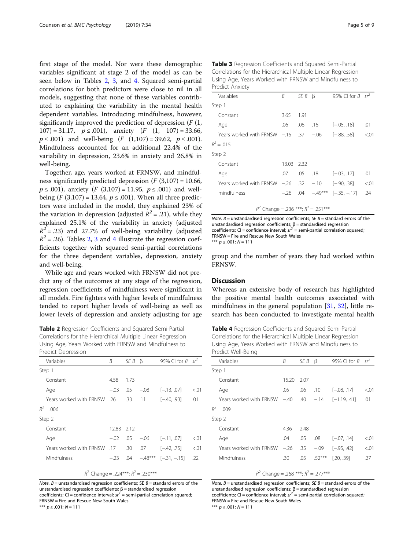first stage of the model. Nor were these demographic variables significant at stage 2 of the model as can be seen below in Tables 2, 3, and 4. Squared semi-partial correlations for both predictors were close to nil in all models, suggesting that none of these variables contributed to explaining the variability in the mental health dependent variables. Introducing mindfulness, however, significantly improved the prediction of depression  $(F(1,$  $107$  = 31.17,  $p \le 0.001$ , anxiety  $(F (1, 107) = 33.66,$  $p \leq .001$ ) and well-being  $(F (1,107) = 39.62, p \leq .001)$ . Mindfulness accounted for an additional 22.4% of the variability in depression, 23.6% in anxiety and 26.8% in well-being.

Together, age, years worked at FRNSW, and mindfulness significantly predicted depression  $(F(3,107) = 10.66,$  $p$  ≤ .001), anxiety (*F* (3,107) = 11.95,  $p$  ≤ .001) and wellbeing  $(F(3,107) = 13.64, p \le .001)$ . When all three predictors were included in the model, they explained 23% of the variation in depression (adjusted  $R^2 = .21$ ), while they explained 25.1% of the variability in anxiety (adjusted  $R^2$  = .23) and 27.7% of well-being variability (adjusted  $R^2$  = .26). Tables 2, 3 and 4 illustrate the regression coefficients together with squared semi-partial correlations for the three dependent variables, depression, anxiety and well-being.

While age and years worked with FRNSW did not predict any of the outcomes at any stage of the regression, regression coefficients of mindfulness were significant in all models. Fire fighters with higher levels of mindfulness tended to report higher levels of well-being as well as lower levels of depression and anxiety adjusting for age

Table 2 Regression Coefficients and Squared Semi-Partial Correlations for the Hierarchical Multiple Linear Regression Using Age, Years Worked with FRNSW and Mindfulness to Predict Depression

| Variables                               | B      | SE B | $\beta$ | 95% CI for $B \text{ sr}^2$         |        |
|-----------------------------------------|--------|------|---------|-------------------------------------|--------|
| Step 1                                  |        |      |         |                                     |        |
| Constant                                | 4.58   | 1.73 |         |                                     |        |
| Age                                     | $-.03$ | .05  | $-.08$  | $[-.13, .07]$                       | < 0.01 |
| Years worked with FRNSW 26              |        |      |         | $.33$ $.11$ $[-.40, .93]$           | .01    |
| $R^2 = .006$                            |        |      |         |                                     |        |
| Step 2                                  |        |      |         |                                     |        |
| Constant                                | 12.83  | 2.12 |         |                                     |        |
| Age                                     | $-.02$ |      |         | $.05 - .06$ $[-.11, .07]$           | < 0.01 |
| 17. Years worked with FRNSW             |        |      |         | $.30 \t .07 \t [-.42, .75]$         | < 0.01 |
| Mindfulness                             |        |      |         | $-.23$ .04 $-.48***$ $[-.31, -.15]$ | .22    |
| $R^2$ Change = .224***; $R^2$ = .230*** |        |      |         |                                     |        |

Note.  $B =$  unstandardised regression coefficients; SE  $B =$  standard errors of the unstandardised regression coefficients;  $β = standardised$  regression coefficients; CI = confidence interval;  $sr^2$  = semi-partial correlation squared; FRNSW = Fire and Rescue New South Wales \*\*\*  $p \le 0.001; N = 111$ 

| Variables                                | B          | SE B | ß   | 95% CI for $B \text{ sr}$  |        |
|------------------------------------------|------------|------|-----|----------------------------|--------|
| Step 1                                   |            |      |     |                            |        |
| Constant                                 | 3.65       | 1.91 |     |                            |        |
| Age                                      | .06        | .06  | .16 | $[-.05, .18]$              | .01    |
| Years worked with FRNSW $-15$ $.37 -06$  |            |      |     | $[-.88, .58]$              | < 0.01 |
| $R^2 = .015$                             |            |      |     |                            |        |
| Step 2                                   |            |      |     |                            |        |
| Constant                                 | 13.03 2.32 |      |     |                            |        |
| Age                                      | .07        | .05  |     | $.18$ $[-.03, .17]$        | .01    |
| 32. Years worked with FRNSW -.26         |            |      |     | $-.10$ $[-.90, .38]$       | < 0.01 |
| mindfulness                              | $-.26$ .04 |      |     | $-.49***$ [ $-.35, -.17$ ] | .24    |
| $R^2$ Change = .236 ***; $R^2$ = .251*** |            |      |     |                            |        |

Table 3 Regression Coefficients and Squared Semi-Partial Correlations for the Hierarchical Multiple Linear Regression

Note.  $B =$  unstandardised regression coefficients; SE  $B =$  standard errors of the unstandardised regression coefficients;  $β = standardised$  regression coefficients; CI = confidence interval;  $sr^2$  = semi-partial correlation squared; FRNSW = Fire and Rescue New South Wales \*\*\*  $p \le 0.001$ ;  $N = 111$ 

group and the number of years they had worked within FRNSW.

# **Discussion**

Whereas an extensive body of research has highlighted the positive mental health outcomes associated with mindfulness in the general population [\[31](#page-8-0), [32\]](#page-8-0), little research has been conducted to investigate mental health

Table 4 Regression Coefficients and Squared Semi-Partial Correlations for the Hierarchical Multiple Linear Regression Using Age, Years Worked with FRNSW and Mindfulness to Predict Well-Being

| Variables               | B      | SE B | ß        | 95% CI for B   | $sr^2$ |
|-------------------------|--------|------|----------|----------------|--------|
| Step 1                  |        |      |          |                |        |
| Constant                | 15.20  | 2.07 |          |                |        |
| Age                     | .05    | .06  | .10      | $[-.08, .17]$  | < 0.01 |
| Years worked with FRNSW | $-.40$ | .40  | $-.14$   | $[-1.19, .41]$ | .01    |
| $R^2 = .009$            |        |      |          |                |        |
| Step 2                  |        |      |          |                |        |
| Constant                | 4.36   | 2.48 |          |                |        |
| Age                     | .04    | .05  | .08      | $[-.07, .14]$  | < 0.01 |
| Years worked with FRNSW | $-26$  | .35  | $-.09$   | $[-.95, .42]$  | < 0.01 |
| Mindfulness             | .30    | .05  | $.52***$ | [.20, .39]     | .27    |
|                         |        |      |          |                |        |

 $R^2$  Change = .268 \*\*\*;  $R^2$  = .277\*\*\* Note.  $B =$  unstandardised regression coefficients; SE  $B =$  standard errors of the unstandardised regression coefficients;  $β = standardised$  regression

coefficients; CI = confidence interval;  $sr^2$  = semi-partial correlation squared; FRNSW = Fire and Rescue New South Wales \*\*\*  $p \le 0.001; N = 111$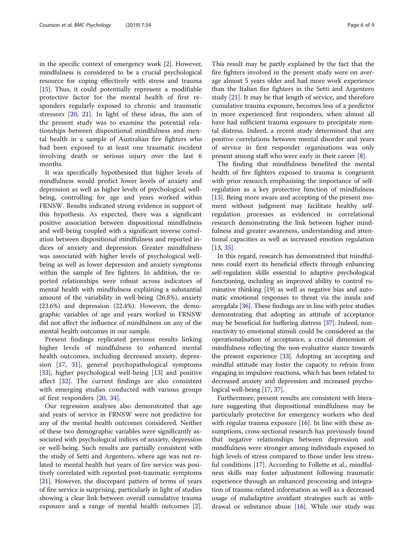in the specific context of emergency work [[2\]](#page-7-0). However, mindfulness is considered to be a crucial psychological resource for coping effectively with stress and trauma [[15\]](#page-7-0). Thus, it could potentially represent a modifiable protective factor for the mental health of first responders regularly exposed to chronic and traumatic stressors [[20,](#page-7-0) [21](#page-7-0)]. In light of these ideas, the aim of the present study was to examine the potential relationships between dispositional mindfulness and mental health in a sample of Australian fire fighters who had been exposed to at least one traumatic incident involving death or serious injury over the last 6 months.

It was specifically hypothesised that higher levels of mindfulness would predict lower levels of anxiety and depression as well as higher levels of psychological wellbeing, controlling for age and years worked within FRNSW. Results indicated strong evidence in support of this hypothesis. As expected, there was a significant positive association between dispositional mindfulness and well-being coupled with a significant inverse correlation between dispositional mindfulness and reported indices of anxiety and depression. Greater mindfulness was associated with higher levels of psychological wellbeing as well as lower depression and anxiety symptoms within the sample of fire fighters. In addition, the reported relationships were robust across indicators of mental health with mindfulness explaining a substantial amount of the variability in well-being (26.8%), anxiety (23.6%) and depression (22.4%). However, the demographic variables of age and years worked in FRNSW did not affect the influence of mindfulness on any of the mental health outcomes in our sample.

Present findings replicated previous results linking higher levels of mindfulness to enhanced mental health outcomes, including decreased anxiety, depression [[17,](#page-7-0) [31\]](#page-8-0), general psychopathological symptoms [[33\]](#page-8-0), higher psychological well-being [\[13](#page-7-0)] and positive affect [[32\]](#page-8-0). The current findings are also consistent with emerging studies conducted with various groups of first responders [[20,](#page-7-0) [34](#page-8-0)].

Our regression analyses also demonstrated that age and years of service in FRNSW were not predictive for any of the mental health outcomes considered. Neither of these two demographic variables were significantly associated with psychological indices of anxiety, depression or well-being. Such results are partially consistent with the study of Setti and Argentero, where age was not related to mental health but years of fire service was positively correlated with reported post-traumatic symptoms [[21\]](#page-7-0). However, the discrepant pattern of terms of years of fire service is surprising, particularly in light of studies showing a clear link between overall cumulative trauma exposure and a range of mental health outcomes [\[2](#page-7-0)].

This result may be partly explained by the fact that the fire fighters involved in the present study were on average almost 5 years older and had more work experience than the Italian fire fighters in the Setti and Argentero study [[21](#page-7-0)]. It may be that length of service, and therefore cumulative trauma exposure, becomes less of a predictor in more experienced first responders, when almost all have had sufficient trauma exposure to precipitate mental distress. Indeed, a recent study determined that any positive correlations between mental disorder and years of service in first responder organisations was only present among staff who were early in their career [\[8](#page-7-0)].

The finding that mindfulness benefited the mental health of fire fighters exposed to trauma is congruent with prior research emphasising the importance of selfregulation as a key protective function of mindfulness [[13\]](#page-7-0). Being more aware and accepting of the present moment without judgment may facilitate healthy selfregulation processes as evidenced in correlational research demonstrating the link between higher mindfulness and greater awareness, understanding and attentional capacities as well as increased emotion regulation [[13,](#page-7-0) [35\]](#page-8-0).

In this regard, research has demonstrated that mindfulness could exert its beneficial effects through enhancing self-regulation skills essential to adaptive psychological functioning, including an improved ability to control ruminative thinking [\[19\]](#page-7-0) as well as negative bias and automatic emotional responses to threat via the insula and amygdala [[36\]](#page-8-0). These findings are in line with prior studies demonstrating that adopting an attitude of acceptance may be beneficial for buffering distress [[37](#page-8-0)]. Indeed, nonreactivity to emotional stimuli could be considered as the operationalisation of acceptance, a crucial dimension of mindfulness reflecting the non-evaluative stance towards the present experience [\[33\]](#page-8-0). Adopting an accepting and mindful attitude may foster the capacity to refrain from engaging in impulsive reactions, which has been related to decreased anxiety and depression and increased psychological well-being [\[17,](#page-7-0) [37\]](#page-8-0).

Furthermore, present results are consistent with literature suggesting that dispositional mindfulness may be particularly protective for emergency workers who deal with regular trauma exposure  $[16]$ . In line with these assumptions, cross-sectional research has previously found that negative relationships between depression and mindfulness were stronger among individuals exposed to high levels of stress compared to those under less stress-ful conditions [[17\]](#page-7-0). According to Follette et al., mindfulness skills may foster adjustment following traumatic experience through an enhanced processing and integration of trauma-related information as well as a decreased usage of maladaptive avoidant strategies such as withdrawal or substance abuse  $[16]$ . While our study was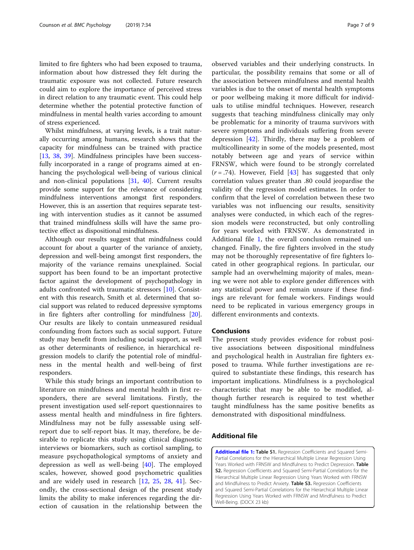limited to fire fighters who had been exposed to trauma, information about how distressed they felt during the traumatic exposure was not collected. Future research could aim to explore the importance of perceived stress in direct relation to any traumatic event. This could help determine whether the potential protective function of mindfulness in mental health varies according to amount of stress experienced.

Whilst mindfulness, at varying levels, is a trait naturally occurring among humans, research shows that the capacity for mindfulness can be trained with practice [[13,](#page-7-0) [38,](#page-8-0) [39](#page-8-0)]. Mindfulness principles have been successfully incorporated in a range of programs aimed at enhancing the psychological well-being of various clinical and non-clinical populations [[31,](#page-8-0) [40](#page-8-0)]. Current results provide some support for the relevance of considering mindfulness interventions amongst first responders. However, this is an assertion that requires separate testing with intervention studies as it cannot be assumed that trained mindfulness skills will have the same protective effect as dispositional mindfulness.

Although our results suggest that mindfulness could account for about a quarter of the variance of anxiety, depression and well-being amongst first responders, the majority of the variance remains unexplained. Social support has been found to be an important protective factor against the development of psychopathology in adults confronted with traumatic stressors [\[10](#page-7-0)]. Consistent with this research, Smith et al. determined that social support was related to reduced depressive symptoms in fire fighters after controlling for mindfulness [\[20](#page-7-0)]. Our results are likely to contain unmeasured residual confounding from factors such as social support. Future study may benefit from including social support, as well as other determinants of resilience, in hierarchical regression models to clarify the potential role of mindfulness in the mental health and well-being of first responders.

While this study brings an important contribution to literature on mindfulness and mental health in first responders, there are several limitations. Firstly, the present investigation used self-report questionnaires to assess mental health and mindfulness in fire fighters. Mindfulness may not be fully assessable using selfreport due to self-report bias. It may, therefore, be desirable to replicate this study using clinical diagnostic interviews or biomarkers, such as cortisol sampling, to measure psychopathological symptoms of anxiety and depression as well as well-being [[40\]](#page-8-0). The employed scales, however, showed good psychometric qualities and are widely used in research [[12](#page-7-0), [25,](#page-8-0) [28](#page-8-0), [41\]](#page-8-0). Secondly, the cross-sectional design of the present study limits the ability to make inferences regarding the direction of causation in the relationship between the

observed variables and their underlying constructs. In particular, the possibility remains that some or all of the association between mindfulness and mental health variables is due to the onset of mental health symptoms or poor wellbeing making it more difficult for individuals to utilise mindful techniques. However, research suggests that teaching mindfulness clinically may only be problematic for a minority of trauma survivors with severe symptoms and individuals suffering from severe depression [[42\]](#page-8-0). Thirdly, there may be a problem of multicollinearity in some of the models presented, most notably between age and years of service within FRNSW, which were found to be strongly correlated  $(r = .74)$ . However, Field [[43\]](#page-8-0) has suggested that only correlation values greater than .80 could jeopardise the validity of the regression model estimates. In order to confirm that the level of correlation between these two variables was not influencing our results, sensitivity analyses were conducted, in which each of the regression models were reconstructed, but only controlling for years worked with FRNSW. As demonstrated in Additional file 1, the overall conclusion remained unchanged. Finally, the fire fighters involved in the study may not be thoroughly representative of fire fighters located in other geographical regions. In particular, our sample had an overwhelming majority of males, meaning we were not able to explore gender differences with any statistical power and remain unsure if these findings are relevant for female workers. Findings would need to be replicated in various emergency groups in different environments and contexts.

# Conclusions

The present study provides evidence for robust positive associations between dispositional mindfulness and psychological health in Australian fire fighters exposed to trauma. While further investigations are required to substantiate these findings, this research has important implications. Mindfulness is a psychological characteristic that may be able to be modified, although further research is required to test whether taught mindfulness has the same positive benefits as demonstrated with dispositional mindfulness.

# Additional file

[Additional file 1:](https://doi.org/10.1186/s40359-019-0311-2) Table S1. Regression Coefficients and Squared Semi-Partial Correlations for the Hierarchical Multiple Linear Regression Using Years Worked with FRNSW and Mindfulness to Predict Depression. Table S2. Regression Coefficients and Squared Semi-Partial Correlations for the Hierarchical Multiple Linear Regression Using Years Worked with FRNSW and Mindfulness to Predict Anxiety. Table S3. Regression Coefficients and Squared Semi-Partial Correlations for the Hierarchical Multiple Linear Regression Using Years Worked with FRNSW and Mindfulness to Predict Well-Being. (DOCX 23 kb)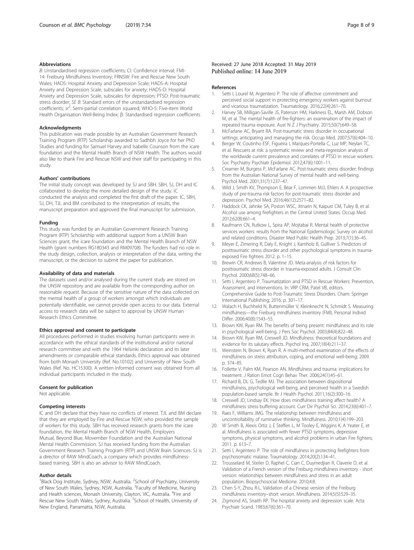#### <span id="page-7-0"></span>Abbreviations

B: Unstandardised regression coefficients; CI: Confidence interval; FMI-14: Freiburg Mindfulness Inventory; FRNSW: Fire and Rescue New South Wales; HADS: Hospital Anxiety and Depression Scale; HADS-A: Hospital Anxiety and Depression Scale, subscales for anxiety; HADS-D: Hospital Anxiety and Depression Scale, subscales for depression; PTSD: Post-traumatic stress disorder; SE B: Standard errors of the unstandardised regression coefficients; sr<sup>2</sup>: Semi-partial correlation squared; WHO-5: Five-item World Health Organisation Well-Being Index; β: Standardised regression coefficients

#### Acknowledgments

This publication was made possible by an Australian Government Research Training Program (RTP) Scholarship awarded to Sadhbh Joyce for her PhD Studies and funding for Samuel Harvey and Isabelle Counson from the icare foundation and the Mental Health Branch of NSW Health. The authors would also like to thank Fire and Rescue NSW and their staff for participating in this study.

#### Authors' contributions

The initial study concept was developed by SJ and SBH. SBH, SJ, DH and IC collaborated to develop the more detailed design of the study. IC conducted the analysis and completed the first draft of the paper. IC, SBH, SJ, DH, TJL and BM contributed to the interpretation of results, the manuscript preparation and approved the final manuscript for submission.

#### Funding

This study was funded by an Australian Government Research Training Program (RTP) Scholarship with additional support from a UNSW Brain Sciences grant, the icare foundation and the Mental Health Branch of NSW Health (grant numbers RG180343 and RM09708). The funders had no role in the study design, collection, analysis or interpretation of the data, writing the manuscript, or the decision to submit the paper for publication.

## Availability of data and materials

The datasets used and/or analysed during the current study are stored on the UNSW repository and are available from the corresponding author on reasonable request. Because of the sensitive nature of the data collected on the mental health of a group of workers amongst which individuals are potentially identifiable, we cannot provide open access to our data. External access to research data will be subject to approval by UNSW Human Research Ethics Committee.

#### Ethics approval and consent to participate

All procedures performed in studies involving human participants were in accordance with the ethical standards of the institutional and/or national research committee and with the 1964 Helsinki declaration and its later amendments or comparable ethical standards. Ethics approval was obtained from both Monash University (Ref. No.10102) and University of New South Wales (Ref. No. HC15300). A written informed consent was obtained from all individual participants included in the study.

## Consent for publication

Not applicable.

#### Competing interests

IC and DH declare that they have no conflicts of interest. TJL and BM declare that they are employed by Fire and Rescue NSW, who provided the sample of workers for this study. SBH has received research grants from the icare foundation, the Mental Health Branch of NSW Health, Employers Mutual, Beyond Blue, Movember Foundation and the Australian National Mental Health Commission. SJ has received funding from the Australian Government Research Training Program (RTP) and UNSW Brain Sciences. SJ is a director of RAW MindCoach, a company which provides mindfulnessbased training. SBH is also an advisor to RAW MindCoach.

#### Author details

<sup>1</sup>Black Dog Institute, Sydney, NSW, Australia. <sup>2</sup>School of Psychiatry, University of New South Wales, Sydney, NSW, Australia. <sup>3</sup>Faculty of Medicine, Nursing and Health sciences, Monash University, Clayton, VIC, Australia. <sup>4</sup>Fire and Rescue New South Wales, Sydney, Australia. <sup>5</sup>School of Health, University of New England, Parramatta, NSW, Australia.

## Received: 27 June 2018 Accepted: 31 May 2019 Published online: 14 June 2019

#### References

- 1. Setti I, Lourel M, Argentero P. The role of affective commitment and perceived social support in protecting emergency workers against burnout and vicarious traumatization. Traumatology. 2016;22(4):261–70.
- 2. Harvey SB, Milligan-Saville JS, Paterson HM, Harkness EL, Marsh AM, Dobson M, et al. The mental health of fire-fighters: an examination of the impact of repeated trauma exposure. Aust N Z J Psychiatry. 2015;50(7):649–58.
- 3. McFarlane AC, Bryant RA. Post-traumatic stress disorder in occupational settings: anticipating and managing the risk. Occup Med. 2007;57(6):404–10.
- 4. Berger W, Coutinho ESF, Figueira I, Marques-Portella C, Luz MP, Neylan TC, et al. Rescuers at risk: a systematic review and meta-regression analysis of the worldwide current prevalence and correlates of PTSD in rescue workers. Soc Psychiatry Psychiatr Epidemiol. 2012;47(6):1001–11.
- 5. Creamer M, Burgess P, McFarlane AC. Post-traumatic stress disorder: findings from the Australian National Survey of mental health and well-being. Psychol Med. 2001;31(7):1237–47.
- 6. Wild J, Smith KV, Thompson E, Béar F, Lommen MJJ, Ehlers A. A prospective study of pre-trauma risk factors for post-traumatic stress disorder and depression. Psychol Med. 2016;46(12):2571–82.
- 7. Haddock CK, Jahnke SA, Poston WSC, Jitnarin N, Kaipust CM, Tuley B, et al. Alcohol use among firefighters in the Central United States. Occup Med. 2012;62(8):661–4.
- 8. Kaufmann CN, Rutkow L, Spira AP, Mojtabai R. Mental health of protective services workers: results from the National Epidemiologic Survey on alcohol and related conditions. Disaster Med Public Health Prep. 2013;7(1):36–45.
- 9. Meyer E, Zimering R, Daly E, Knight J, Kamholz B, Gulliver S. Predictors of posttraumatic stress disorder and other psychological symptoms in traumaexposed Fire fighters 2012. p. 1–15.
- 10. Brewin CR, Andrews B, Valentine JD. Meta-analysis of risk factors for posttraumatic stress disorder in trauma-exposed adults. J Consult Clin Psychol. 2000;68(5):748–66.
- 11. Setti I, Argentero P. Traumatization and PTSD in Rescue Workers: Prevention, Assessment, and Interventions. In: VRP CRM, Patel VB, editors. Comprehensive Guide to Post-Traumatic Stress Disorders. Cham: Springer International Publishing; 2016. p. 301–17.
- 12. Walach H, Buchheld N, Buttenmüller V, Kleinknecht N, Schmidt S. Measuring mindfulness—the Freiburg mindfulness inventory (FMI). Personal Individ Differ. 2006;40(8):1543–55.
- 13. Brown KW, Ryan RM. The benefits of being present: mindfulness and its role in psychological well-being. J Pers Soc Psychol. 2003;84(4):822–48.
- 14. Brown KW, Ryan RM, Creswell JD. Mindfulness: theoretical foundations and evidence for its salutary effects. Psychol Inq. 2007;18(4):211–37.
- 15. Weinstein N, Brown K, Ryan R. A multi-method examination of the effects of mindfulness on stress attribution, coping, and emotional well-being; 2009. p. 374–85.
- 16. Follette V, Palm KM, Pearson AN. Mindfulness and trauma: implications for treatment. J Ration Emot Cogn Behav Ther. 2006;24(1):45–61.
- 17. Richard B, DL G, Tedlie MJ. The association between dispositional mindfulness, psychological well-being, and perceived health in a Swedish population-based sample. Br J Health Psychol. 2011;16(2):300–16.
- 18. Creswell JD, Lindsay EK. How does mindfulness training affect health? A mindfulness stress buffering account. Curr Dir Psychol Sci. 2014;23(6):401–7.
- 19. Raes F, Williams JMG. The relationship between mindfulness and uncontrollability of ruminative thinking. Mindfulness. 2010;1(4):199–203.
- 20. W Smith B, Alexis Ortiz J, E Steffen L, M Tooley E, Wiggins K, A Yeater E, et al. Mindfulness is associated with fewer PTSD symptoms, depressive symptoms, physical symptoms, and alcohol problems in urban Fire fighters; 2011. p. 613–7.
- 21. Setti I, Argentero P. The role of mindfulness in protecting firefighters from psychosomatic malaise. Traumatology. 2014;20(2):134–41.
- 22. Trousselard M, Steiler D, Raphel C, Cian C, Duymedjian R, Claverie D, et al. Validation of a French version of the Freiburg mindfulness inventory - short version: relationships between mindfulness and stress in an adult population. Biopsychosocial Medicine. 2010;4:8.
- 23. Chen S-Y, Zhou R-L. Validation of a Chinese version of the Freiburg mindfulness inventory–short version. Mindfulness. 2014;5(5):529–35.
- 24. Zigmond AS, Snaith RP. The hospital anxiety and depression scale. Acta Psychiatr Scand. 1983;67(6):361–70.